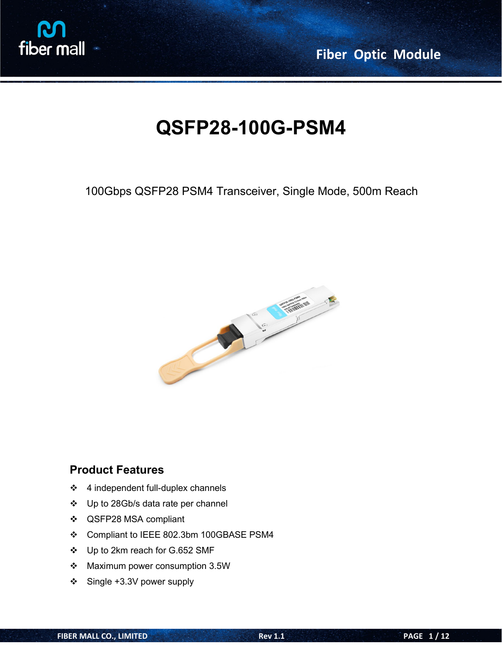

**Fiber Optic Module**

# **QSFP28-100G-PSM4**

100Gbps QSFP28 PSM4 Transceiver, Single Mode, 500m Reach



# **Product Features**

- $\div$  4 independent full-duplex channels
- ❖ Up to 28Gb/s data rate per channel
- QSFP28 MSA compliant
- Compliant to IEEE 802.3bm 100GBASE PSM4
- Up to 2km reach for G.652 SMF
- Maximum power consumption 3.5W
- Single +3.3V power supply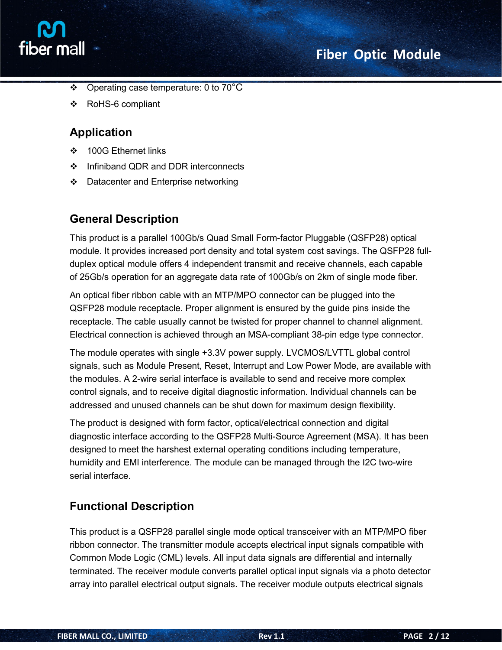



- $\div$  Operating case temperature: 0 to 70°C
- RoHS-6 compliant

### **Application**

- 100G Ethernet links
- ❖ Infiniband QDR and DDR interconnects
- $\div$  Datacenter and Enterprise networking

### **General Description**

This product is a parallel 100Gb/s Quad Small Form-factor Pluggable (QSFP28) optical module. It provides increased port density and total system cost savings. The QSFP28 full duplex optical module offers 4 independent transmit and receive channels, each capable of 25Gb/s operation for an aggregate data rate of100Gb/s on 2km of single mode fiber.

An optical fiber ribbon cable with an MTP/MPO connector can be plugged into the QSFP28 module receptacle. Proper alignment is ensured by the guide pins inside the receptacle. The cable usually cannot be twisted for proper channel to channel alignment. Electrical connection is achieved through an MSA-compliant 38-pin edge type connector.

The module operates with single +3.3V power supply. LVCMOS/LVTTL global control signals, such as Module Present, Reset, Interrupt and Low Power Mode, are available with the modules. A 2-wire serial interface is available to send and receive more complex control signals, and to receive digital diagnostic information. Individual channels can be addressed and unused channels can be shut down for maximum design flexibility.

The product is designed with form factor, optical/electrical connection and digital diagnostic interface according to the QSFP28 Multi-Source Agreement (MSA). It has been designed to meet the harshest external operating conditions including temperature, humidity and EMI interference. The module can be managed through the I2C two-wire serial interface.

### **Functional Description**

This product is a QSFP28 parallel single mode optical transceiver with an MTP/MPO fiber ribbon connector. The transmitter module accepts electrical input signals compatible with Common Mode Logic (CML) levels. All input data signals are differential and internally terminated. The receiver module converts parallel optical input signals via a photo detector array into parallel electrical output signals. The receiver module outputs electrical signals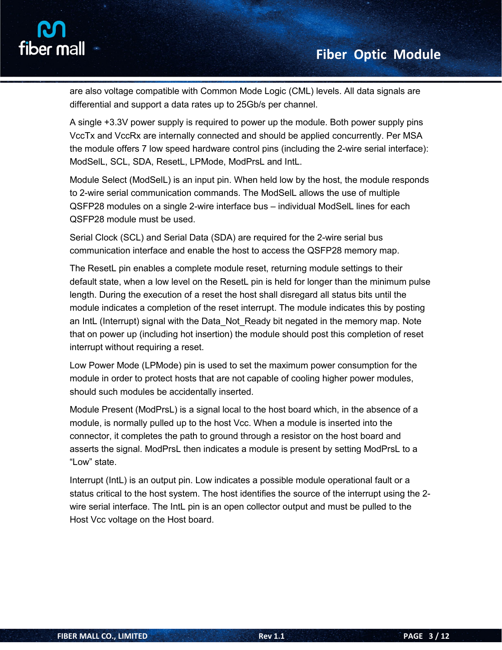

are also voltage compatible with Common Mode Logic (CML) levels. All data signals are differential and support a data rates up to 25Gb/s per channel.

A single +3.3V power supply is required to power up the module. Both power supply pins VccTx and VccRx are internally connected and should be applied concurrently. Per MSA the module offers 7 low speed hardware control pins (including the 2-wire serial interface): ModSelL, SCL, SDA, ResetL, LPMode, ModPrsL and IntL.

Module Select (ModSelL) is an input pin. When held low by the host, the module responds to 2-wire serial communication commands. The ModSelL allows the use of multiple QSFP28 modules on a single 2-wire interface bus – individual ModSelL lines for each QSFP28 module must be used.

Serial Clock (SCL) and Serial Data (SDA) are required for the 2-wire serial bus communication interface and enable the host to access the QSFP28 memory map.

The ResetL pin enables a complete module reset, returning module settings to their default state, when a low level on the ResetL pin is held for longer than the minimum pulse length. During the execution of a reset the host shall disregard all status bits until the module indicates a completion of the reset interrupt. The module indicates this by posting an IntL (Interrupt) signal with the Data\_Not\_Ready bit negated in the memory map. Note that on power up (including hot insertion) the module should post this completion of reset interrupt without requiring a reset.

Low Power Mode (LPMode) pin is used to set the maximum power consumption for the module in order to protect hosts that are not capable of cooling higher power modules, should such modules be accidentally inserted.

Module Present (ModPrsL) is a signal local to the host board which, in the absence of a module, is normally pulled up to the host Vcc. When a module is inserted into the connector, it completes the path to ground through a resistor on the host board and asserts the signal. ModPrsL then indicates a module is present by setting ModPrsL to a "Low" state.

Interrupt (IntL) is an output pin. Low indicates a possible module operational fault or a status critical to the host system. The host identifies the source of the interrupt using the 2 wire serial interface. The IntL pin is an open collector output and must be pulled to the Host Vcc voltage on the Host board.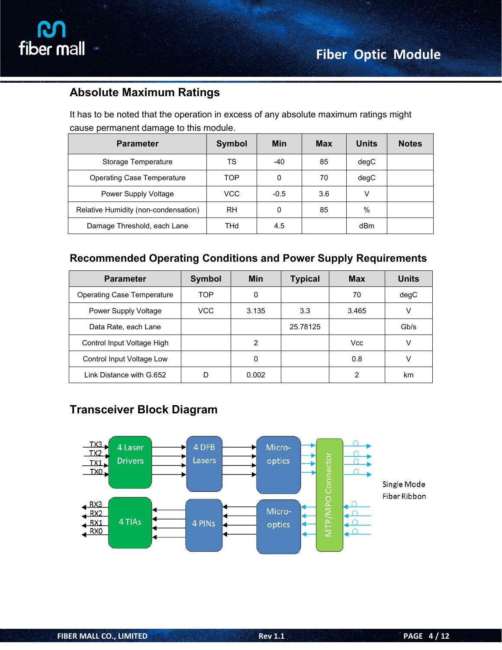

# **Absolute Maximum Ratings**

It has to be noted that the operation in excess of any absolute maximum ratings might cause permanent damage to this module.

| <b>Parameter</b>                     | Symbol     | <b>Min</b> | <b>Max</b> | <b>Units</b> | <b>Notes</b> |
|--------------------------------------|------------|------------|------------|--------------|--------------|
| Storage Temperature                  | TS         | -40        | 85         | degC         |              |
| <b>Operating Case Temperature</b>    | TOP        | 0          | 70         | degC         |              |
| Power Supply Voltage                 | <b>VCC</b> | $-0.5$     | 3.6        | V            |              |
| Relative Humidity (non-condensation) | <b>RH</b>  | 0          | 85         | $\%$         |              |
| Damage Threshold, each Lane          | THd        | 4.5        |            | dBm          |              |

### **Recommended Operating Conditions and Power Supply Requirements**

| <b>Parameter</b>                  | Symbol     | Min   | <b>Typical</b> | <b>Max</b> | <b>Units</b> |
|-----------------------------------|------------|-------|----------------|------------|--------------|
| <b>Operating Case Temperature</b> | <b>TOP</b> | 0     |                | 70         | degC         |
| Power Supply Voltage              | <b>VCC</b> | 3.135 | 3.3            | 3.465      | v            |
| Data Rate, each Lane              |            |       | 25.78125       |            | Gb/s         |
| Control Input Voltage High        |            | 2     |                | Vcc        |              |
| Control Input Voltage Low         |            | 0     |                | 0.8        | $\vee$       |
| Link Distance with G.652          | D          | 0.002 |                | 2          | km           |

# **Transceiver Block Diagram**

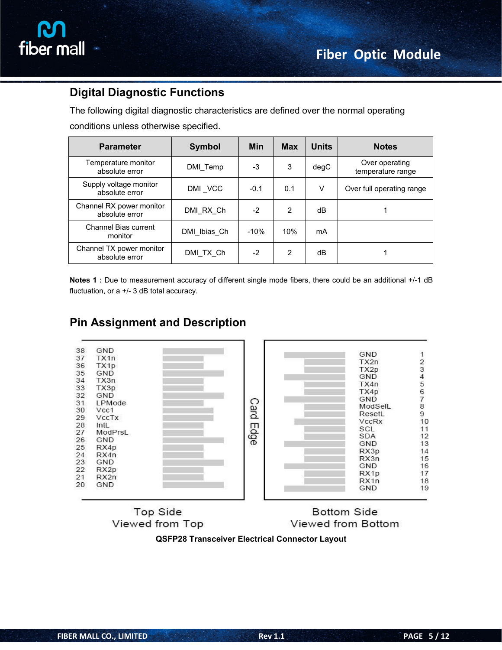

# **Digital Diagnostic Functions**

The following digital diagnostic characteristics are defined over the normal operating conditions unless otherwise specified.

| <b>Parameter</b>                           | <b>Symbol</b> | <b>Min</b> | <b>Max</b> | <b>Units</b> | <b>Notes</b>                        |
|--------------------------------------------|---------------|------------|------------|--------------|-------------------------------------|
| Temperature monitor<br>absolute error      | DMI_Temp      | $-3$       | 3          | degC         | Over operating<br>temperature range |
| Supply voltage monitor<br>absolute error   | DMI VCC       | $-0.1$     | 0.1        | v            | Over full operating range           |
| Channel RX power monitor<br>absolute error | DMI RX Ch     | $-2$       | 2          | dB           |                                     |
| Channel Bias current<br>monitor            | DMI Ibias Ch  | $-10%$     | 10%        | mA           |                                     |
| Channel TX power monitor<br>absolute error | DMI TX Ch     | $-2$       | 2          | dB           |                                     |

**Notes 1 :** Due to measurement accuracy of different single mode fibers, there could be an additional +/-1 dB fluctuation, or a +/- 3 dB total accuracy.



# **Pin Assignment and Description**

**Top Side** Viewed from Top

**Bottom Side** Viewed from Bottom

#### **QSFP28 Transceiver Electrical Connector Layout**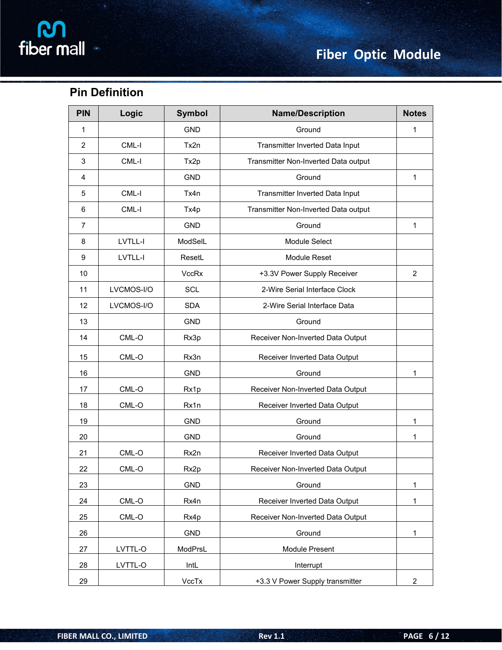# **Pin Definition**

| <b>PIN</b>     | Logic      | <b>Symbol</b>    | <b>Name/Description</b>              |                |
|----------------|------------|------------------|--------------------------------------|----------------|
| $\mathbf{1}$   |            | <b>GND</b>       | Ground                               | 1              |
| $\overline{2}$ | CML-I      | Tx2n             | Transmitter Inverted Data Input      |                |
| $\mathfrak{S}$ | CML-I      | Tx2p             | Transmitter Non-Inverted Data output |                |
| 4              |            | <b>GND</b>       | Ground                               | $\mathbf 1$    |
| 5              | CML-I      | Tx4n             | Transmitter Inverted Data Input      |                |
| 6              | CML-I      | Tx4p             | Transmitter Non-Inverted Data output |                |
| $\overline{7}$ |            | <b>GND</b>       | Ground                               | 1              |
| 8              | LVTLL-I    | ModSelL          | Module Select                        |                |
| 9              | LVTLL-I    | ResetL           | Module Reset                         |                |
| 10             |            | <b>VccRx</b>     | +3.3V Power Supply Receiver          | $\overline{2}$ |
| 11             | LVCMOS-I/O | SCL              | 2-Wire Serial Interface Clock        |                |
| 12             | LVCMOS-I/O | <b>SDA</b>       | 2-Wire Serial Interface Data         |                |
| 13             |            | <b>GND</b>       | Ground                               |                |
| 14             | CML-O      | Rx3p             | Receiver Non-Inverted Data Output    |                |
| 15             | CML-O      | Rx3n             | Receiver Inverted Data Output        |                |
| 16             |            | <b>GND</b>       | Ground                               | 1              |
| 17             | $CML-O$    | Rx1p             | Receiver Non-Inverted Data Output    |                |
| 18             | $CML-O$    | Rx1n             | Receiver Inverted Data Output        |                |
| 19             |            | <b>GND</b>       | Ground                               | 1              |
| 20             |            | GND              | Ground                               | 1              |
| 21             | CML-O      | Rx2n             | Receiver Inverted Data Output        |                |
| 22             | CML-O      | Rx <sub>2p</sub> | Receiver Non-Inverted Data Output    |                |
| 23             |            | GND              | Ground                               | 1              |
| 24             | $CML-O$    | Rx4n             | Receiver Inverted Data Output        | 1              |
| 25             | $CML-O$    | Rx4p             | Receiver Non-Inverted Data Output    |                |
| 26             |            | <b>GND</b>       | Ground                               | $\mathbf 1$    |
| 27             | LVTTL-O    | ModPrsL          | Module Present                       |                |
| 28             | LVTTL-O    | IntL             | Interrupt                            |                |
| 29             |            | VccTx            | +3.3 V Power Supply transmitter      | $\overline{2}$ |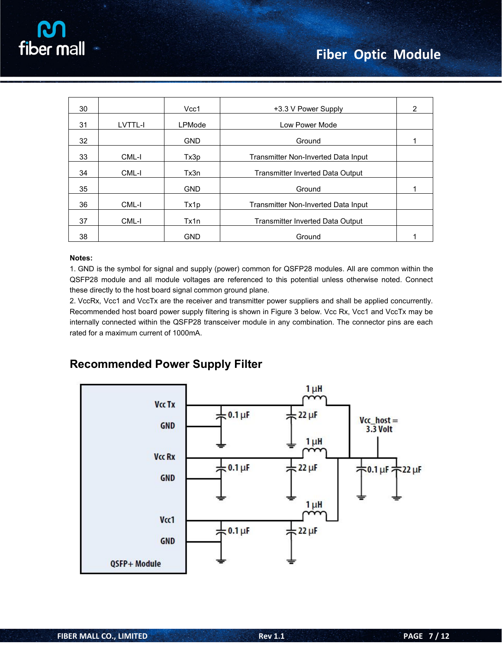

| 30 |         | Vcc1          | +3.3 V Power Supply                     | $\overline{2}$ |
|----|---------|---------------|-----------------------------------------|----------------|
| 31 | LVTTL-I | <b>LPMode</b> | Low Power Mode                          |                |
| 32 |         | <b>GND</b>    | Ground                                  |                |
| 33 | CML-I   | Tx3p          | Transmitter Non-Inverted Data Input     |                |
| 34 | CML-I   | Tx3n          | <b>Transmitter Inverted Data Output</b> |                |
| 35 |         | <b>GND</b>    | Ground                                  |                |
| 36 | CML-I   | Tx1p          | Transmitter Non-Inverted Data Input     |                |
| 37 | CML-I   | Tx1n          | <b>Transmitter Inverted Data Output</b> |                |
| 38 |         | <b>GND</b>    | Ground                                  |                |

#### **Notes:**

1. GND is the symbol for signal and supply (power) common for QSFP28 modules. All are common within the QSFP28 module and all module voltages are referenced to this potential unless otherwise noted. Connect these directly to the host board signal common ground plane.

2. VccRx, Vcc1 and VccTx are the receiver and transmitter power suppliers and shall be applied concurrently. Recommended host board power supply filtering is shown in Figure 3 below. Vcc Rx, Vcc1 and VccTx may be internally connected within the QSFP28 transceiver module in any combination. The connector pins are each rated for a maximum current of 1000mA.

### **Recommended Power Supply Filter**

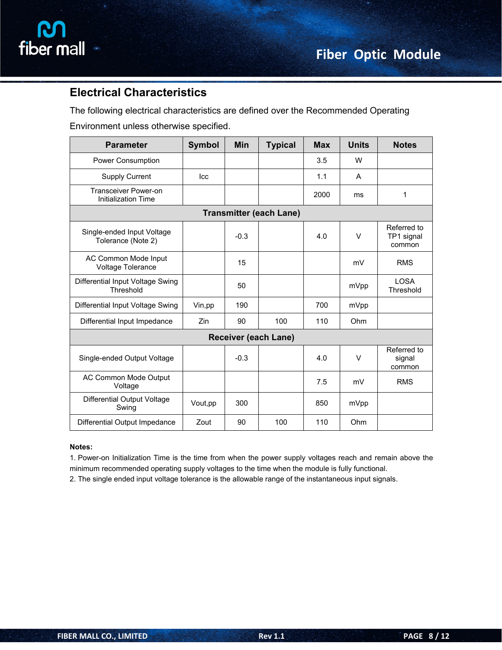

# **Electrical Characteristics**

The following electrical characteristics are defined over the Recommended Operating

Environment unless otherwise specified.

| <b>Parameter</b>                                          | Symbol   | <b>Min</b> | <b>Typical</b>                 | <b>Max</b> | <b>Units</b> | <b>Notes</b>                        |
|-----------------------------------------------------------|----------|------------|--------------------------------|------------|--------------|-------------------------------------|
| Power Consumption                                         |          |            |                                | 3.5        | W            |                                     |
| <b>Supply Current</b>                                     | Icc      |            |                                | 1.1        | Α            |                                     |
| <b>Transceiver Power-on</b><br><b>Initialization Time</b> |          |            |                                | 2000       | ms           | $\mathbf{1}$                        |
|                                                           |          |            | <b>Transmitter (each Lane)</b> |            |              |                                     |
| Single-ended Input Voltage<br>Tolerance (Note 2)          |          | $-0.3$     |                                | 4.0        | $\vee$       | Referred to<br>TP1 signal<br>common |
| AC Common Mode Input<br>Voltage Tolerance                 |          | 15         |                                |            | mV           | <b>RMS</b>                          |
| Differential Input Voltage Swing<br>Threshold             |          | 50         |                                |            | mVpp         | <b>LOSA</b><br>Threshold            |
| Differential Input Voltage Swing                          | Vin, pp  | 190        |                                | 700        | mVpp         |                                     |
| Differential Input Impedance                              | Zin      | 90         | 100                            | 110        | Ohm          |                                     |
|                                                           |          |            | <b>Receiver (each Lane)</b>    |            |              |                                     |
| Single-ended Output Voltage                               |          | $-0.3$     |                                | 4.0        | $\vee$       | Referred to<br>signal<br>common     |
| AC Common Mode Output<br>Voltage                          |          |            |                                | 7.5        | mV           | <b>RMS</b>                          |
| Differential Output Voltage<br>Swing                      | Vout, pp | 300        |                                | 850        | mVpp         |                                     |
| Differential Output Impedance                             | Zout     | 90         | 100                            | 110        | Ohm          |                                     |

#### **Notes:**

1. Power-on Initialization Time is the time from when the power supply voltages reach and remain above the minimum recommended operating supply voltages to the time when the module is fully functional.

2. The single ended input voltage tolerance is the allowable range of the instantaneous input signals.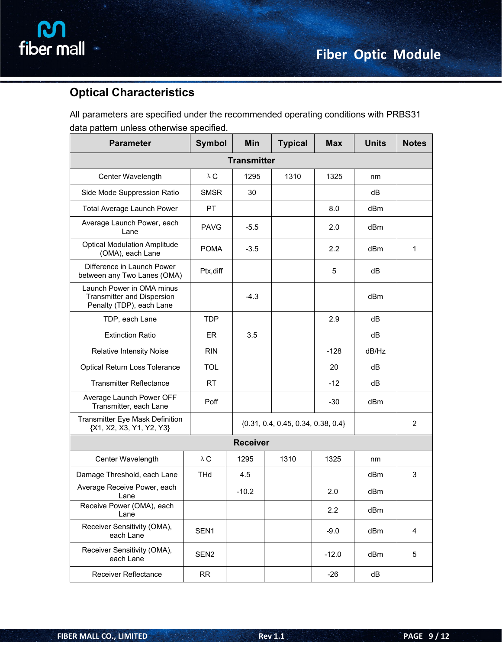

# **Optical Characteristics**

All parameters are specified under the recommended operating conditions with PRBS31 data pattern unless otherwise specified.

| <b>Parameter</b>                                                                           | <b>Symbol</b>      | Min             | <b>Typical</b>                         | <b>Max</b> | <b>Units</b> | <b>Notes</b>   |  |  |
|--------------------------------------------------------------------------------------------|--------------------|-----------------|----------------------------------------|------------|--------------|----------------|--|--|
|                                                                                            | <b>Transmitter</b> |                 |                                        |            |              |                |  |  |
| Center Wavelength                                                                          | $\lambda$ C        | 1295            | 1310                                   | 1325       | nm           |                |  |  |
| Side Mode Suppression Ratio                                                                | <b>SMSR</b>        | 30              |                                        |            | dB           |                |  |  |
| Total Average Launch Power                                                                 | PT                 |                 |                                        | 8.0        | dBm          |                |  |  |
| Average Launch Power, each<br>Lane                                                         | <b>PAVG</b>        | $-5.5$          |                                        | 2.0        | dBm          |                |  |  |
| <b>Optical Modulation Amplitude</b><br>(OMA), each Lane                                    | <b>POMA</b>        | $-3.5$          |                                        | 2.2        | dBm          | 1              |  |  |
| Difference in Launch Power<br>between any Two Lanes (OMA)                                  | Ptx, diff          |                 |                                        | 5          | dB           |                |  |  |
| Launch Power in OMA minus<br><b>Transmitter and Dispersion</b><br>Penalty (TDP), each Lane |                    | $-4.3$          |                                        |            | dBm          |                |  |  |
| TDP, each Lane                                                                             | <b>TDP</b>         |                 |                                        | 2.9        | dB           |                |  |  |
| <b>Extinction Ratio</b>                                                                    | ER                 | 3.5             |                                        |            | dB           |                |  |  |
| Relative Intensity Noise                                                                   | <b>RIN</b>         |                 |                                        | $-128$     | dB/Hz        |                |  |  |
| Optical Return Loss Tolerance                                                              | <b>TOL</b>         |                 |                                        | 20         | dB           |                |  |  |
| <b>Transmitter Reflectance</b>                                                             | RT                 |                 |                                        | $-12$      | dB           |                |  |  |
| Average Launch Power OFF<br>Transmitter, each Lane                                         | Poff               |                 |                                        | $-30$      | dBm          |                |  |  |
| Transmitter Eye Mask Definition<br>{X1, X2, X3, Y1, Y2, Y3}                                |                    |                 | $\{0.31, 0.4, 0.45, 0.34, 0.38, 0.4\}$ |            |              | $\overline{2}$ |  |  |
|                                                                                            |                    | <b>Receiver</b> |                                        |            |              |                |  |  |
| Center Wavelength                                                                          | $\lambda$ C        | 1295            | 1310                                   | 1325       | nm           |                |  |  |
| Damage Threshold, each Lane                                                                | <b>THd</b>         | 4.5             |                                        |            | dBm          | 3              |  |  |
| Average Receive Power, each<br>Lane                                                        |                    | $-10.2$         |                                        | 2.0        | dBm          |                |  |  |
| Receive Power (OMA), each<br>Lane                                                          |                    |                 |                                        | 2.2        | dBm          |                |  |  |
| Receiver Sensitivity (OMA),<br>each Lane                                                   | SEN1               |                 |                                        | $-9.0$     | dBm          | 4              |  |  |
| Receiver Sensitivity (OMA),<br>each Lane                                                   | SEN <sub>2</sub>   |                 |                                        | $-12.0$    | dBm          | 5              |  |  |
| Receiver Reflectance                                                                       | <b>RR</b>          |                 |                                        | $-26$      | dB           |                |  |  |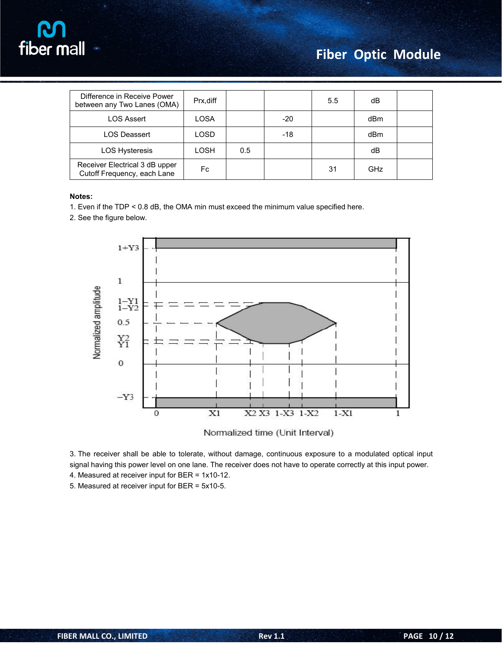

# **Fiber Optic Module**

| Difference in Receive Power<br>between any Two Lanes (OMA)    | Prx, diff |     |     | $5.5^{\circ}$ | dB         |  |
|---------------------------------------------------------------|-----------|-----|-----|---------------|------------|--|
| <b>LOS Assert</b>                                             | LOSA      |     | -20 |               | dBm        |  |
| <b>LOS Deassert</b>                                           | LOSD      |     | -18 |               | dBm        |  |
| LOS Hysteresis                                                | LOSH      | 0.5 |     |               | dB         |  |
| Receiver Electrical 3 dB upper<br>Cutoff Frequency, each Lane | Fc        |     |     | 31            | <b>GHz</b> |  |

#### **Notes:**

- 1. Even if the TDP < 0.8 dB, the OMA min must exceed the minimum value specified here.
- 2. See the figure below.



Normalized time (Unit Interval)

3. The receiver shall be able to tolerate, without damage, continuous exposure to a modulated optical input signal having this power level on one lane. The receiver does not have to operate correctly at this input power.

4. Measured at receiver input for BER = 1x10-12.

5. Measured at receiver input for BER = 5x10-5.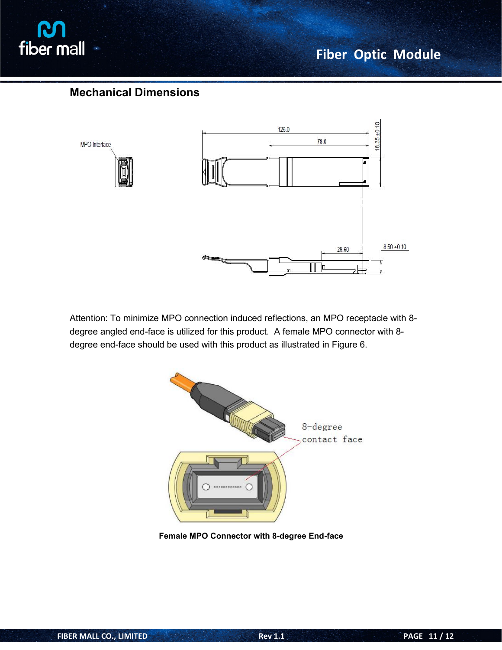

# **Fiber Optic Module**

# **Mechanical Dimensions**



Attention: To minimize MPO connection induced reflections, an MPO receptacle with 8 degree angled end-face is utilized for this product. A female MPO connector with 8 degree end-face should be used with this product as illustrated in Figure 6.



**Female MPO Connector with 8-degree End-face**